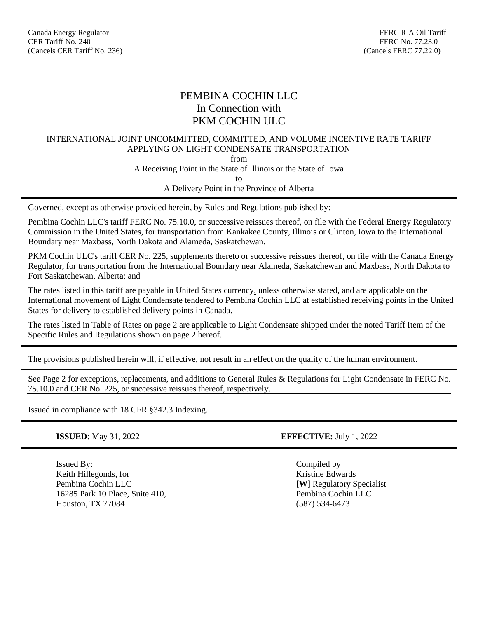# PEMBINA COCHIN LLC In Connection with PKM COCHIN ULC

### INTERNATIONAL JOINT UNCOMMITTED, COMMITTED, AND VOLUME INCENTIVE RATE TARIFF APPLYING ON LIGHT CONDENSATE TRANSPORTATION

from

A Receiving Point in the State of Illinois or the State of Iowa

to

A Delivery Point in the Province of Alberta

Governed, except as otherwise provided herein, by Rules and Regulations published by:

Pembina Cochin LLC's tariff FERC No. 75.10.0, or successive reissues thereof, on file with the Federal Energy Regulatory Commission in the United States, for transportation from Kankakee County, Illinois or Clinton, Iowa to the International Boundary near Maxbass, North Dakota and Alameda, Saskatchewan.

PKM Cochin ULC's tariff CER No. 225, supplements thereto or successive reissues thereof, on file with the Canada Energy Regulator, for transportation from the International Boundary near Alameda, Saskatchewan and Maxbass, North Dakota to Fort Saskatchewan, Alberta; and

The rates listed in this tariff are payable in United States currency, unless otherwise stated, and are applicable on the International movement of Light Condensate tendered to Pembina Cochin LLC at established receiving points in the United States for delivery to established delivery points in Canada.

The rates listed in Table of Rates on page 2 are applicable to Light Condensate shipped under the noted Tariff Item of the Specific Rules and Regulations shown on page 2 hereof.

The provisions published herein will, if effective, not result in an effect on the quality of the human environment.

See Page 2 for exceptions, replacements, and additions to General Rules & Regulations for Light Condensate in FERC No. 75.10.0 and CER No. 225, or successive reissues thereof, respectively.

Issued in compliance with 18 CFR §342.3 Indexing.

Issued By: Compiled by Keith Hillegonds, for Santa Communication and the Kristine Edwards School and Kristine Edwards Pembina Cochin LLC **[W]** Regulatory Specialist 16285 Park 10 Place, Suite 410, Pembina Cochin LLC Houston, TX 77084 (587) 534-6473

**ISSUED**: May 31, 2022 **EFFECTIVE:** July 1, 2022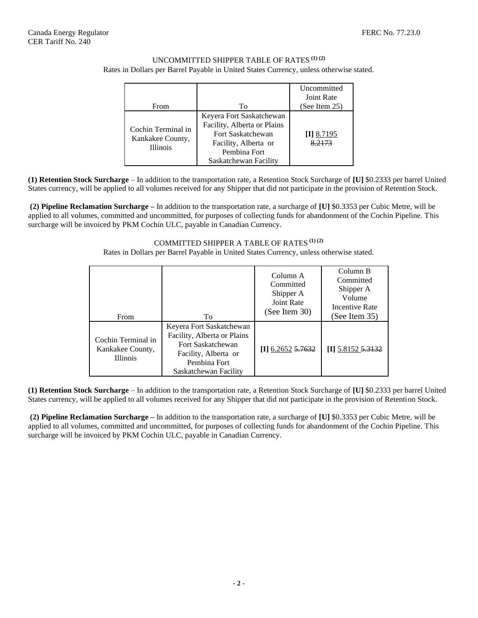### UNCOMMITTED SHIPPER TABLE OF RATES **(1) (2)** Rates in Dollars per Barrel Payable in United States Currency, unless otherwise stated.

| From                                                      | To                                                                                                                                            | Uncommitted<br>Joint Rate<br>(See Item $25$ ) |
|-----------------------------------------------------------|-----------------------------------------------------------------------------------------------------------------------------------------------|-----------------------------------------------|
| Cochin Terminal in<br>Kankakee County,<br><b>Illinois</b> | Keyera Fort Saskatchewan<br>Facility, Alberta or Plains<br>Fort Saskatchewan<br>Facility, Alberta or<br>Pembina Fort<br>Saskatchewan Facility | $[I]$ 8.7195<br>8.2173                        |

**(1) Retention Stock Surcharge** – In addition to the transportation rate, a Retention Stock Surcharge of **[U]** \$0.2333 per barrel United States currency, will be applied to all volumes received for any Shipper that did not participate in the provision of Retention Stock.

**(2) Pipeline Reclamation Surcharge –** In addition to the transportation rate, a surcharge of **[U]** \$0.3353 per Cubic Metre, will be applied to all volumes, committed and uncommitted, for purposes of collecting funds for abandonment of the Cochin Pipeline. This surcharge will be invoiced by PKM Cochin ULC, payable in Canadian Currency.

#### COMMITTED SHIPPER A TABLE OF RATES **(1) (2)**

Rates in Dollars per Barrel Payable in United States Currency, unless otherwise stated.

| <b>From</b>                                               | To                                                                                                                                            | Column A<br>Committed<br>Shipper A<br>Joint Rate<br>(See Item 30) | Column B<br>Committed<br>Shipper A<br>Volume<br>Incentive Rate<br>(See Item 35) |
|-----------------------------------------------------------|-----------------------------------------------------------------------------------------------------------------------------------------------|-------------------------------------------------------------------|---------------------------------------------------------------------------------|
| Cochin Terminal in<br>Kankakee County,<br><b>Illinois</b> | Keyera Fort Saskatchewan<br>Facility, Alberta or Plains<br>Fort Saskatchewan<br>Facility, Alberta or<br>Pembina Fort<br>Saskatchewan Facility | $[I]$ 6.2652 5.7632                                               | $\textbf{H}$ 5.8152 <del>5.3132</del>                                           |

**(1) Retention Stock Surcharge** – In addition to the transportation rate, a Retention Stock Surcharge of **[U]** \$0.2333 per barrel United States currency, will be applied to all volumes received for any Shipper that did not participate in the provision of Retention Stock.

**(2) Pipeline Reclamation Surcharge –** In addition to the transportation rate, a surcharge of **[U]** \$0.3353 per Cubic Metre, will be applied to all volumes, committed and uncommitted, for purposes of collecting funds for abandonment of the Cochin Pipeline. This surcharge will be invoiced by PKM Cochin ULC, payable in Canadian Currency.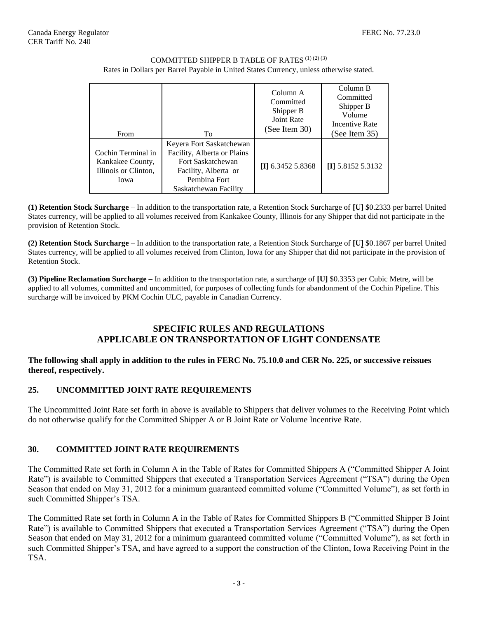### COMMITTED SHIPPER B TABLE OF RATES  $^{\left( 1\right) \left( 2\right) \left( 3\right) }$ Rates in Dollars per Barrel Payable in United States Currency, unless otherwise stated.

| From                                                                   | To                                                                                                                                            | Column A<br>Committed<br>Shipper B<br>Joint Rate<br>(See Item 30) | Column B<br>Committed<br>Shipper B<br>Volume<br><b>Incentive Rate</b><br>(See Item $35$ ) |
|------------------------------------------------------------------------|-----------------------------------------------------------------------------------------------------------------------------------------------|-------------------------------------------------------------------|-------------------------------------------------------------------------------------------|
| Cochin Terminal in<br>Kankakee County,<br>Illinois or Clinton,<br>Iowa | Keyera Fort Saskatchewan<br>Facility, Alberta or Plains<br>Fort Saskatchewan<br>Facility, Alberta or<br>Pembina Fort<br>Saskatchewan Facility | $[I]$ 6.3452 5.8368                                               | $[I]$ 5.8152 5.3132                                                                       |

**(1) Retention Stock Surcharge** – In addition to the transportation rate, a Retention Stock Surcharge of **[U]** \$0.2333 per barrel United States currency, will be applied to all volumes received from Kankakee County, Illinois for any Shipper that did not participate in the provision of Retention Stock.

**(2) Retention Stock Surcharge** – In addition to the transportation rate, a Retention Stock Surcharge of **[U]** \$0.1867 per barrel United States currency, will be applied to all volumes received from Clinton, Iowa for any Shipper that did not participate in the provision of Retention Stock.

**(3) Pipeline Reclamation Surcharge –** In addition to the transportation rate, a surcharge of **[U]** \$0.3353 per Cubic Metre, will be applied to all volumes, committed and uncommitted, for purposes of collecting funds for abandonment of the Cochin Pipeline. This surcharge will be invoiced by PKM Cochin ULC, payable in Canadian Currency.

### **SPECIFIC RULES AND REGULATIONS APPLICABLE ON TRANSPORTATION OF LIGHT CONDENSATE**

### **The following shall apply in addition to the rules in FERC No. 75.10.0 and CER No. 225, or successive reissues thereof, respectively.**

## **25. UNCOMMITTED JOINT RATE REQUIREMENTS**

The Uncommitted Joint Rate set forth in above is available to Shippers that deliver volumes to the Receiving Point which do not otherwise qualify for the Committed Shipper A or B Joint Rate or Volume Incentive Rate.

## **30. COMMITTED JOINT RATE REQUIREMENTS**

The Committed Rate set forth in Column A in the Table of Rates for Committed Shippers A ("Committed Shipper A Joint Rate") is available to Committed Shippers that executed a Transportation Services Agreement ("TSA") during the Open Season that ended on May 31, 2012 for a minimum guaranteed committed volume ("Committed Volume"), as set forth in such Committed Shipper's TSA.

The Committed Rate set forth in Column A in the Table of Rates for Committed Shippers B ("Committed Shipper B Joint Rate") is available to Committed Shippers that executed a Transportation Services Agreement ("TSA") during the Open Season that ended on May 31, 2012 for a minimum guaranteed committed volume ("Committed Volume"), as set forth in such Committed Shipper's TSA, and have agreed to a support the construction of the Clinton, Iowa Receiving Point in the TSA.